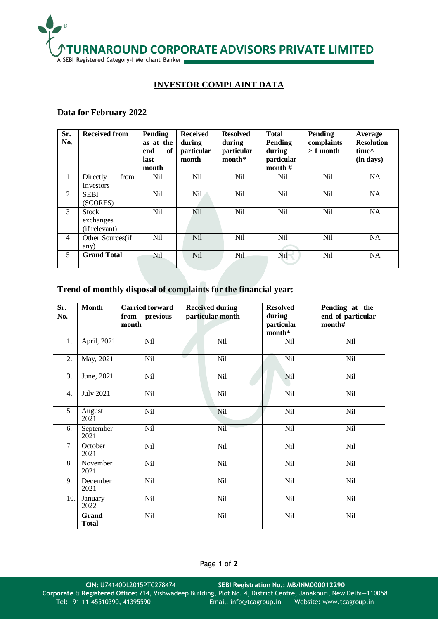

## **INVESTOR COMPLAINT DATA**

## **Data for February 2022 -**

| Sr.<br>No.     | <b>Received from</b>                       | Pending<br>as at the<br>end<br>of<br>last<br>month | <b>Received</b><br>during<br>particular<br>month | <b>Resolved</b><br>during<br>particular<br>$month*$ | <b>Total</b><br>Pending<br>during<br>particular<br>month $#$ | <b>Pending</b><br>complaints<br>$>1$ month | Average<br><b>Resolution</b><br>time <sup><math>\wedge</math></sup><br>(in days) |
|----------------|--------------------------------------------|----------------------------------------------------|--------------------------------------------------|-----------------------------------------------------|--------------------------------------------------------------|--------------------------------------------|----------------------------------------------------------------------------------|
| $\mathbf{1}$   | Directly<br>from<br>Investors              | <b>Nil</b>                                         | <b>Nil</b>                                       | Nil                                                 | Nil                                                          | Nil                                        | <b>NA</b>                                                                        |
| 2              | <b>SEBI</b><br>(SCORES)                    | <b>Nil</b>                                         | Nil.                                             | Nil                                                 | <b>Nil</b>                                                   | Nil                                        | <b>NA</b>                                                                        |
| 3              | <b>Stock</b><br>exchanges<br>(if relevant) | <b>Nil</b>                                         | Nil                                              | <b>Nil</b>                                          | <b>Nil</b>                                                   | <b>Nil</b>                                 | <b>NA</b>                                                                        |
| $\overline{4}$ | Other Sources(if<br>any)                   | Nil.                                               | <b>Nil</b>                                       | Nil                                                 | Nil                                                          | Nil                                        | <b>NA</b>                                                                        |
| 5              | <b>Grand Total</b>                         | Nil                                                | <b>Nil</b>                                       | <b>Nil</b>                                          | <b>Nil</b>                                                   | <b>Nil</b>                                 | <b>NA</b>                                                                        |

## **Trend of monthly disposal of complaints for the financial year:**

| Sr.<br>No.       | <b>Month</b>          | <b>Carried forward</b><br>from previous<br>month | <b>Received during</b><br>particular month | <b>Resolved</b><br>during<br>particular<br>month* | Pending at the<br>end of particular<br>month# |
|------------------|-----------------------|--------------------------------------------------|--------------------------------------------|---------------------------------------------------|-----------------------------------------------|
| 1.               | April, 2021           | Nil                                              | Nil                                        | Nil                                               | Nil                                           |
| $\overline{2}$ . | May, 2021             | Nil                                              | Nil                                        | Nil                                               | Nil                                           |
| 3.               | June, 2021            | Nil                                              | Nil                                        | N <sub>il</sub>                                   | Nil                                           |
| 4.               | <b>July 2021</b>      | Nil                                              | Nil                                        | Nil                                               | Nil                                           |
| 5.               | August<br>2021        | Nil                                              | <b>Nil</b>                                 | Nil                                               | Nil                                           |
| 6.               | September<br>2021     | Nil                                              | Nil                                        | Nil                                               | Nil                                           |
| 7.               | October<br>2021       | Nil                                              | Nil                                        | Nil                                               | Nil                                           |
| 8.               | November<br>2021      | Nil                                              | Nil                                        | Nil                                               | Nil                                           |
| 9.               | December<br>2021      | Nil                                              | Nil                                        | Nil                                               | Nil                                           |
| 10.              | January<br>2022       | Nil                                              | Nil                                        | Nil                                               | Nil                                           |
|                  | Grand<br><b>Total</b> | Nil                                              | Nil                                        | Nil                                               | Nil                                           |